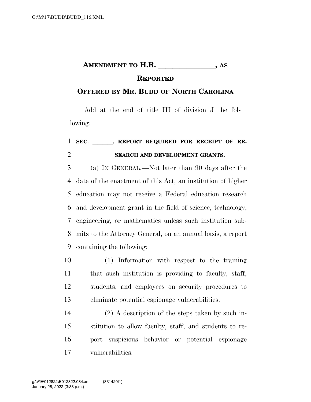## AMENDMENT TO H.R. AS **REPORTED**

## **OFFERED BY MR. BUDD OF NORTH CAROLINA**

Add at the end of title III of division J the following:

## 1 SEC. REPORT REQUIRED FOR RECEIPT OF RE-**SEARCH AND DEVELOPMENT GRANTS.**

 (a) IN GENERAL.—Not later than 90 days after the date of the enactment of this Act, an institution of higher education may not receive a Federal education research and development grant in the field of science, technology, engineering, or mathematics unless such institution sub- mits to the Attorney General, on an annual basis, a report containing the following:

 (1) Information with respect to the training that such institution is providing to faculty, staff, students, and employees on security procedures to eliminate potential espionage vulnerabilities.

 (2) A description of the steps taken by such in- stitution to allow faculty, staff, and students to re- port suspicious behavior or potential espionage vulnerabilities.